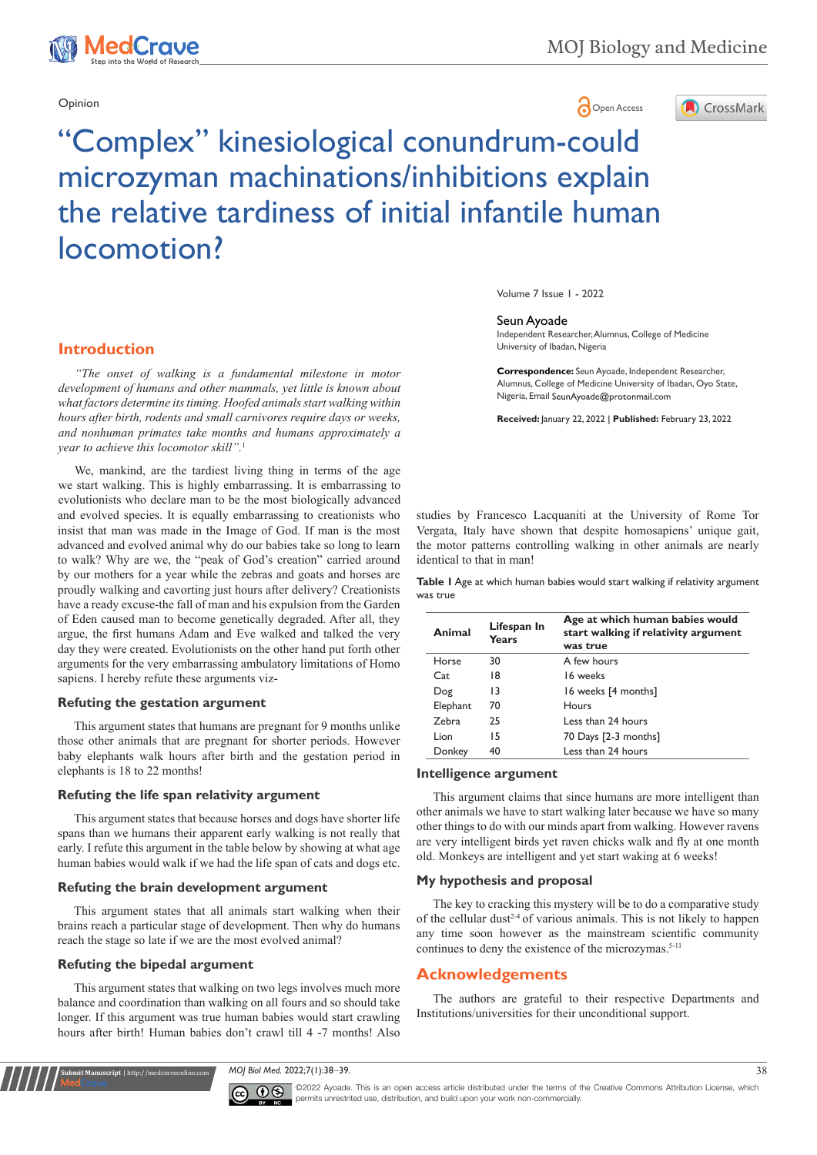

# Opinion **Community Community Community Community** Community Community Community Community Community Community Community Community Community Community Community Community Community Community Community Community Community Co



# "Complex" kinesiological conundrum-could microzyman machinations/inhibitions explain the relative tardiness of initial infantile human locomotion?

**Introduction**

*"The onset of walking is a fundamental milestone in motor development of humans and other mammals, yet little is known about what factors determine its timing. Hoofed animals start walking within hours after birth, rodents and small carnivores require days or weeks, and nonhuman primates take months and humans approximately a year to achieve this locomotor skill".*<sup>1</sup>

and evolved species. It is equally embarrassing to creationists who insist that man was made in the Image of God. If man is the most advanced and evolved animal why do our babies take so long to learn to walk? Why are we, the "peak of God's creation" carried around by our mothers for a year while the zebras and goats and horses are proudly walking and cavorting just hours after delivery? Creationists have a ready excuse-the fall of man and his expulsion from the Garden of Eden caused man to become genetically degraded. After all, they argue, the first humans Adam and Eve walked and talked the very day they were created. Evolutionists on the other hand put forth other arguments for the very embarrassing ambulatory limitations of Homo sapiens. I hereby refute these arguments viz-We, mankind, are the tardiest living thing in terms of the age we start walking. This is highly embarrassing. It is embarrassing to evolutionists who declare man to be the most biologically advanced

#### **Refuting the gestation argument**

This argument states that humans are pregnant for 9 months unlike those other animals that are pregnant for shorter periods. However baby elephants walk hours after birth and the gestation period in elephants is 18 to 22 months!

#### **Refuting the life span relativity argument**

This argument states that because horses and dogs have shorter life spans than we humans their apparent early walking is not really that early. I refute this argument in the table below by showing at what age human babies would walk if we had the life span of cats and dogs etc.

#### **Refuting the brain development argument**

This argument states that all animals start walking when their brains reach a particular stage of development. Then why do humans reach the stage so late if we are the most evolved animal?

#### **Refuting the bipedal argument**

**Submit Manuscript** | http://medcraveonline.com

This argument states that walking on two legs involves much more balance and coordination than walking on all fours and so should take longer. If this argument was true human babies would start crawling hours after birth! Human babies don't crawl till 4 -7 months! Also

Volume 7 Issue 1 - 2022

#### Seun Ayoade

Independent Researcher, Alumnus, College of Medicine University of Ibadan, Nigeria

**Correspondence:** Seun Ayoade, Independent Researcher, Alumnus, College of Medicine University of Ibadan, Oyo State, Nigeria, Email SeunAyoade@protonmail.com

**Received:** January 22, 2022 | **Published:** February 23, 2022

studies by Francesco Lacquaniti at the University of Rome Tor Vergata, Italy have shown that despite homosapiens' unique gait, the motor patterns controlling walking in other animals are nearly identical to that in man!

**Table 1** Age at which human babies would start walking if relativity argument was true

| Animal   | Lifespan In<br>Years | Age at which human babies would<br>start walking if relativity argument<br>was true |
|----------|----------------------|-------------------------------------------------------------------------------------|
| Horse    | 30                   | A few hours                                                                         |
| Cat      | 18                   | 16 weeks                                                                            |
| Dog      | 13                   | 16 weeks [4 months]                                                                 |
| Elephant | 70                   | Hours                                                                               |
| Zebra    | 25                   | Less than 24 hours                                                                  |
| Lion     | 15                   | 70 Days [2-3 months]                                                                |
| Donkey   | 40                   | Less than 24 hours                                                                  |

## **Intelligence argument**

This argument claims that since humans are more intelligent than other animals we have to start walking later because we have so many other things to do with our minds apart from walking. However ravens are very intelligent birds yet raven chicks walk and fly at one month old. Monkeys are intelligent and yet start waking at 6 weeks!

#### **My hypothesis and proposal**

The key to cracking this mystery will be to do a comparative study of the cellular dust<sup> $2-4$ </sup> of various animals. This is not likely to happen any time soon however as the mainstream scientific community continues to deny the existence of the microzymas.<sup>5-11</sup>

#### **Acknowledgements**

The authors are grateful to their respective Departments and Institutions/universities for their unconditional support.

*MOJ Biol Med.* 2022;7(1):38‒39. 38



©2022 Ayoade. This is an open access article distributed under the terms of the Creative Commons Attribution License, which permits unrestrited use, distribution, and build upon your work non-commercially.